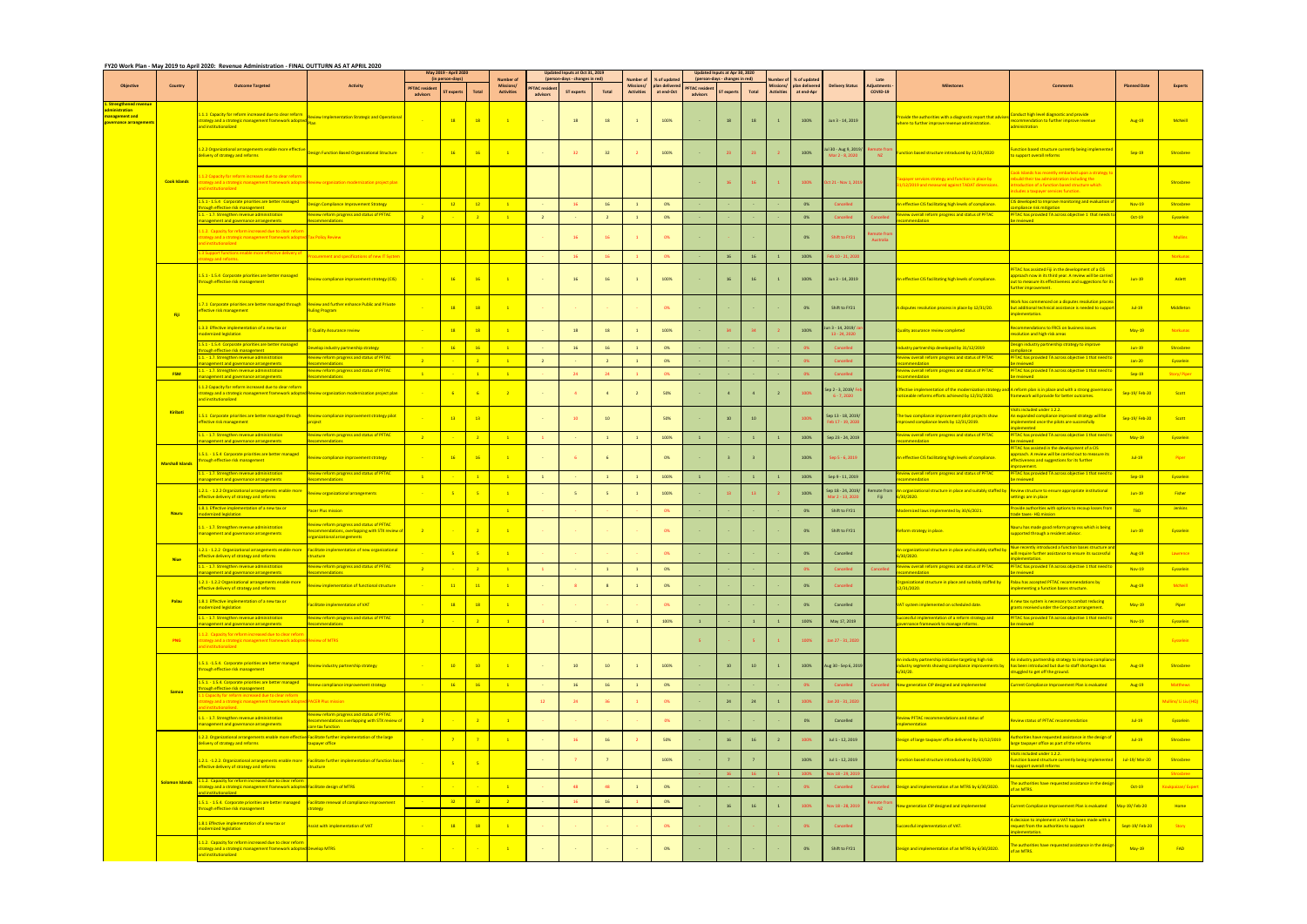|                                                                                    |                         | FY20 Work Plan - May 2019 to April 2020: Revenue Administration - FINAL OUTTURN AS AT APRIL 2020                                                                                       |                                                                                                                      |                                   | May 2019 - April 2020                 |                       |                                                           |                                 | <b>Updated Inputs at Oct 31, 2019</b>               |                |                                                   |                                            |                                  | Jpdated Inputs at Apr 30, 202              |                |                   |                                                      |                                                   |                                |                                                                                                                          |                                                                                                                                                                                                  |                                |                        |
|------------------------------------------------------------------------------------|-------------------------|----------------------------------------------------------------------------------------------------------------------------------------------------------------------------------------|----------------------------------------------------------------------------------------------------------------------|-----------------------------------|---------------------------------------|-----------------------|-----------------------------------------------------------|---------------------------------|-----------------------------------------------------|----------------|---------------------------------------------------|--------------------------------------------|----------------------------------|--------------------------------------------|----------------|-------------------|------------------------------------------------------|---------------------------------------------------|--------------------------------|--------------------------------------------------------------------------------------------------------------------------|--------------------------------------------------------------------------------------------------------------------------------------------------------------------------------------------------|--------------------------------|------------------------|
| <b>Objective</b>                                                                   | Country                 | <b>Outcome Targeted</b>                                                                                                                                                                | <b>Activity</b>                                                                                                      | <b>PFTAC</b> resident<br>advisors | (in person-days)<br><b>ST</b> expert: | <b>Total</b>          | <b>Number of</b><br><b>Missions/</b><br><b>Activities</b> | <b>FTAC residen</b><br>advisors | (person-davs - changes in red)<br><b>ST experts</b> | Total          | <b>Number</b> o<br>Missions/<br><b>Activities</b> | % of update<br>plan delivere<br>at end-Oct | <b>PFTAC</b> resider<br>advisors | (person-days - changes in red)<br>T expert | Total          | <b>Activities</b> | % of update<br>Missions/ plan delivere<br>at end-Apr | <b>Delivery Status</b>                            | Late<br>diustments<br>COVID-19 | <b>Milestones</b>                                                                                                        | <b>Comments</b>                                                                                                                                                                                  | <b>Planned Date</b>            | <b>Experts</b>         |
| itrengthened rev<br>ninistration<br>anagement and<br><mark>vernance arrange</mark> |                         | 1.1.1 Capacity for reform increased due to clear reform<br>trategy and a strategic management framework adopted<br>and institutionalized                                               | eview Implementation Strategic and Operational                                                                       |                                   | 18                                    | 18                    | $\overline{1}$                                            |                                 | 18                                                  | 18             |                                                   | 100%                                       |                                  | 18                                         | 18             |                   | 100%                                                 | Jun 3 - 14, 2019                                  |                                | ovide the authorities with a diagnostic report that advis<br>vhere to further improve revenue administration.            | Conduct high level diagnostic and provide<br>ecommendation to further improve revenue<br>ministration                                                                                            | Aug-19                         | McNeil                 |
|                                                                                    |                         | 1.2.2 Organizational arrangements enable more effective<br>elivery of strategy and reforms                                                                                             | esign Function Based Organizational Structure                                                                        |                                   | 16                                    | 16                    | $\overline{1}$                                            |                                 | 32                                                  | 32             |                                                   | 100%                                       |                                  | 23                                         | 23             |                   | 100%                                                 | ul 30 - Aug 9, 2019/<br>Mar 2 - 8, 2020           | <b>NZ</b>                      | ction based structure introduced by 12/31/2020                                                                           | <u>inction based structure currently being implemente</u><br>support overall reforms                                                                                                             | Sep-19                         | Shrosbree              |
|                                                                                    | <b>Cook Islands</b>     | 1.2 Capacity for reform increased due to clear reform<br>ategy and a strategic management framework adopted<br><b>institutionalized</b>                                                | eview organization modernization project plan                                                                        |                                   |                                       |                       |                                                           |                                 |                                                     |                |                                                   |                                            |                                  | 16                                         | $16-16$        |                   | 100%                                                 | Oct 21 - Nov 1, 201                               |                                | payer services strategy and function in place by<br>/12/2019 and measured against TADAT dimensions.                      | ok Islands has recently embarked upon a strategy<br>build their tax administration including the<br>roduction of a function based structure which<br>ludes a taxpayer services function.         |                                | Shrosbree              |
|                                                                                    |                         | 1.5.1 - 1.5.4 Corporate priorities are better managed<br>nugh effective risk management.                                                                                               | sign Compliance Improvement Strategy                                                                                 |                                   | 12                                    | 12                    | $\blacksquare$ 1                                          |                                 | 16                                                  | 16             | $\mathbf{1}$                                      | 0%                                         |                                  |                                            |                |                   | 0%                                                   | Cancelled                                         |                                | effective CIS facilitating high levels of compliance.                                                                    | IS developed to Improve monitoring and evaluation<br>inliance risk mitigation.                                                                                                                   | <b>Nov-19</b>                  | Shrosbree              |
|                                                                                    |                         | .1. - 1.7. Strengthen revenue administration<br>gement and governance arrangements                                                                                                     | view reform progress and status of PFTAC                                                                             |                                   |                                       | $\overline{2}$        | $\blacksquare$                                            | $\overline{2}$                  |                                                     | $\overline{2}$ | $\mathbf{1}$                                      | 0%                                         |                                  |                                            |                |                   | 0%                                                   | Cancelled                                         |                                | view overall reform progress and status of PFTAC                                                                         | <b>PFTAC has provided TA across objective 1 that needs</b><br>houroivo                                                                                                                           | Oct-19                         | Eysselein              |
|                                                                                    |                         | .1.2. Capacity for reform increased due to clear refo<br>ategy and a strategic management framework adopted<br>d institutionalized                                                     | ax Policy Review                                                                                                     |                                   |                                       |                       |                                                           |                                 | 16                                                  | 16             |                                                   | 0%                                         |                                  |                                            |                |                   | 0%                                                   | Shift to FY21                                     |                                |                                                                                                                          |                                                                                                                                                                                                  |                                | <b>Mullins</b>         |
|                                                                                    |                         | Support functions enable more effective delivery of                                                                                                                                    | ocurement and specifications of new IT Systen                                                                        |                                   |                                       |                       |                                                           |                                 | 16                                                  | 16             |                                                   | 0%                                         |                                  | 16                                         | 16             |                   | 100%                                                 | Feb 10 - 21, 202                                  |                                |                                                                                                                          |                                                                                                                                                                                                  |                                | Norkunas               |
|                                                                                    |                         | and reference<br>1.5.1 - 1.5.4 Corporate priorities are better managed<br>hrough effective risk management                                                                             | view compliance improvement strategy (CIS)                                                                           |                                   | $-16$                                 | 16                    | $\mathbf{1}$                                              |                                 | 16                                                  | 16             |                                                   | 100%                                       |                                  | 16                                         | 16             |                   | 100%                                                 | Jun 3 - 14, 2019                                  |                                | An effective CIS facilitating high levels of compliance.                                                                 | FTAC has assisted Fiji in the development of a CIS<br>oproach now in its third year. A review will be carried<br>out to measure its effectiveness and suggestions for its<br>urther improvement. | $Jun-19$                       | Aslett                 |
|                                                                                    | Fiji                    | 7.1 Corporate priorities are better managed through<br>fective risk management                                                                                                         | eview and further enhance Public and Private<br>uling Program                                                        |                                   | $-18$                                 | <b>18</b>             | $\blacksquare$                                            |                                 |                                                     |                |                                                   | 0%                                         |                                  |                                            |                |                   | 0%                                                   | Shift to FY21                                     |                                | disputes resolution process in place by 12/31/20.                                                                        | ork has commenced on a disputes resolution proces<br>but additional technical assistance is needed to support<br>nplementation.                                                                  | $Jul-19$                       | Middleton              |
|                                                                                    |                         | 1.3.3 Effective implementation of a new tax or<br>nodernized legislation<br>1.5.1 - 1.5.4 Corporate priorities are better managed                                                      | <b>Quality Assurance review</b>                                                                                      |                                   | 18                                    | <b>18</b>             | $\blacksquare$                                            |                                 | 18                                                  | 18             | $\mathbf{1}$                                      | 100%                                       |                                  |                                            |                |                   | 100%                                                 | in 3 - 14, 2019/ <mark>J</mark><br>$13 - 24.2020$ |                                | quality assurance review completed                                                                                       | commendations to FRCS on business issues<br>esolution and high-risk areas<br>Design industry partnership strategy to improve                                                                     | $Mav-19$                       | Norkunas               |
|                                                                                    |                         | irough effective risk management<br>1.1. - 1.7. Strengthen revenue administration                                                                                                      | velop industry partnership strategy<br>view reform progress and status of PFTAC                                      |                                   | 16                                    | 16                    | $\overline{1}$                                            |                                 | 16                                                  | 16             | $\overline{1}$                                    | 0%                                         |                                  |                                            |                |                   |                                                      | Cancelled                                         |                                | lustry partnership developed by 31/12/2019<br>view overall reform progress and status of PFTAC                           | mnliance<br>FTAC has provided TA across objective 1 that need to                                                                                                                                 | $Jun-19$                       | Shrosbree              |
|                                                                                    |                         | anagement and governance arrangements                                                                                                                                                  | <b>nmendations</b>                                                                                                   | $\overline{2}$                    |                                       | $\overline{2}$        | $\blacksquare$ 1                                          | $\overline{2}$                  |                                                     | $\overline{2}$ | $\overline{1}$                                    | 0%                                         |                                  |                                            |                |                   | - 0%                                                 | Cancelled                                         |                                | nmmendation                                                                                                              | reviewed                                                                                                                                                                                         | $Jan-20$                       | <b>Eysselein</b>       |
|                                                                                    | <b>FSM</b>              | 1.1. - 1.7. Strengthen revenue administration<br>nagement and governance arrangements                                                                                                  | view reform progress and status of PFTAC<br>mmendations                                                              | $\sqrt{1}$                        |                                       | $-1$                  | $\blacksquare$                                            |                                 | 24                                                  | 24             |                                                   | 0%                                         |                                  |                                            |                |                   | - 0%                                                 | Cancelled                                         |                                | view overall reform progress and status of PFTAC<br>mmendation                                                           | FTAC has provided TA across objective 1 that need to<br>e reviewed                                                                                                                               | $Sep-19$                       | Story/ Piper           |
|                                                                                    |                         | 1.1.2 Capacity for reform increased due to clear reform<br>trategy and a strategic management framework adopted Review organization modernization project plan<br>nd institutionalized |                                                                                                                      |                                   | $-6$                                  |                       | $\overline{2}$                                            |                                 | $\mathbf{A}$                                        | $\overline{a}$ |                                                   | 50%                                        |                                  |                                            |                |                   | 100%                                                 | iep 2 - 3, 2019/ F<br>$6 - 7,2020$                |                                | ffective implementation of the modernization strategy ar<br>oticeable reforms efforts achieved by 12/31/2020.            | <mark>d A reform plan is in place and with a strong governanc</mark><br>amework will provide for better outcomes.                                                                                | <b>Sep-19/Feb-20</b>           | Scott                  |
|                                                                                    | <b>Kiribat</b>          | .5.1 Corporate priorities are better managed through<br>ffective risk management                                                                                                       | Review compliance improvement strategy pilot                                                                         |                                   | 13                                    | 13                    |                                                           |                                 | 10                                                  | 10             |                                                   | 50%                                        |                                  | 10                                         | 10             |                   | 100%                                                 | Sep 13 - 18, 2019/<br>Feb 17 - 19, 202            |                                | le two compliance improvement pilot projects show<br>proved compliance levels by 12/31/2019.                             | sits included under 1.2.2.<br>n expanded compliance improved strategy will be<br>nplemented once the pilots are successfully<br><b>Inlemented</b>                                                | <b>Sep-19/Feb-20</b>           | Scott                  |
|                                                                                    |                         | 1. - 1.7. Strengthen revenue administration<br>agement and governance arrangements                                                                                                     | view reform progress and status of PFTAC                                                                             | $\sqrt{2}$                        |                                       | $\overline{2}$        | $\blacksquare$                                            |                                 |                                                     | $\mathbf{1}$   | $\overline{1}$                                    | 100%                                       |                                  |                                            | $\mathbf{1}$   |                   | 100%                                                 | Sep 23 - 24, 2019                                 |                                | diew overall reform progress and status of PFTAC<br>nmendation                                                           | FTAC has provided TA across objective 1 that need to<br>houroivot                                                                                                                                | <b>May-19</b>                  | <b>Eysselein</b>       |
|                                                                                    | <b>Marshall Islands</b> | 5.1. - 1.5.4 Corporate priorities are better managed<br>rough effective risk management                                                                                                | eview compliance improvement strategy                                                                                |                                   | $-16$                                 | 16                    | $\mathbf{1}$                                              |                                 | -6                                                  | 6              |                                                   | 0%                                         |                                  |                                            |                |                   | 100%                                                 | Sep 5 - 6, 2019                                   |                                | An effective CIS facilitating high levels of compliance.                                                                 | FTAC has assisted in the development of a CIS<br>oproach. A review will be carried out to measure its<br>ffectiveness and suggestions for its further<br>inrovement.                             | $Jul-19$                       | Piper                  |
|                                                                                    |                         | 1.1. - 1.7. Strengthen revenue administration<br>nagement and governance arrangements                                                                                                  | view reform progress and status of PFTAC<br>mondations                                                               | $\blacksquare$                    |                                       | $\mathbf{1}$          | $\blacksquare$                                            | $\overline{1}$                  |                                                     | $\overline{1}$ | $\overline{1}$                                    | 100%                                       |                                  |                                            | $\overline{1}$ |                   | 100%                                                 | Sep 9 - 11, 2019                                  |                                | riew overall reform progress and status of PFTAC<br>mondation                                                            | FTAC has provided TA across objective 1 that need to<br><b>Paviewed</b>                                                                                                                          | $Sep-19$                       | Eysselein              |
|                                                                                    |                         | 1.2.1. - 1.2.2 Organizational arrangements enable more<br>ffective delivery of strategy and reforms                                                                                    | view organizational arrangements                                                                                     |                                   | $-5$                                  |                       | $\blacksquare$                                            |                                 | -5                                                  | $-5$           | $\overline{1}$                                    | 100%                                       |                                  | 13                                         | 13             |                   | 100%                                                 | Sep 18 - 24, 2019/<br>Mar 2 - 13, 202             | emote from<br>Fiji             | organizational structure in place and suitably staffed b<br>/30/2020.                                                    | eview structure to ensure appropriate institutional<br>ettings are in place                                                                                                                      | $Jun-19$                       | Fisher                 |
|                                                                                    | <b>Nauru</b>            | .8.1. Effective implementation of a new tax or<br>dernized legislation                                                                                                                 | cer Plus mission                                                                                                     |                                   |                                       |                       | $\blacksquare$ 1                                          |                                 |                                                     |                |                                                   | 0%                                         |                                  |                                            |                |                   | 0%                                                   | Shift to FY21                                     |                                | odernized laws implemented by 30/6/2021.                                                                                 | <mark>ovide authorities with options to recoup losses fro</mark><br>de taxes- HQ mission                                                                                                         | TBD                            | <b>Jenkins</b>         |
|                                                                                    |                         | .1. - 1.7. Strengthen revenue administration<br>anagement and governance arrangements                                                                                                  | view reform progress and status of PFTAC<br>ommendations, overlapping with STX review o<br>zanizational arrangements |                                   |                                       |                       |                                                           |                                 |                                                     |                |                                                   | 0%                                         |                                  |                                            |                |                   | 0%                                                   | Shift to FY21                                     |                                | eform strategy in place.                                                                                                 | lauru has made good reform progress which is being<br>pported through a resident advisor.                                                                                                        | $Jun-19$                       | Eysselein              |
|                                                                                    | <b>Niue</b>             | 1.2.1 - 1.2.2 Organizational arrangements enable more Facilitate implementation of new organizational<br>.1. - 1.7. Strengthen revenue administration                                  | riew reform progress and status of PFTAC                                                                             | $\overline{2}$                    | $-5$                                  | -51<br>$\overline{2}$ |                                                           |                                 |                                                     |                |                                                   | 0%                                         |                                  |                                            |                |                   | 0%                                                   | Cancelled                                         |                                | organizational structure in place and suitably staffed by<br>iew overall reform progress and status of PFTAC             | Niue recently introduced a function bases structure an<br>will require further assistance to ensure its successful<br>ntation<br>TAC has provided TA across objective 1 that need to             | <b>Aug-19</b>                  | Lawrence               |
|                                                                                    |                         | agement and governance arrangements                                                                                                                                                    |                                                                                                                      |                                   |                                       |                       |                                                           |                                 |                                                     | $\overline{1}$ | $\overline{1}$                                    | 0%                                         |                                  |                                            |                |                   |                                                      | Cancelled                                         |                                |                                                                                                                          |                                                                                                                                                                                                  | <b>Nov-19</b>                  | <b>Eysselein</b>       |
|                                                                                    | Palau                   | 1.2.1 - 1.2.2 Organizational arrangements enable more<br>ffective delivery of strategy and reforms<br>1.8.1 Effective implementation of a new tax or                                   | view implementation of functional structure<br><b>acilitate implementation of VAT</b>                                |                                   | 11<br><b>18</b>                       | 11<br>18              | $\mathbf{1}$<br>$\mathbf{1}$                              |                                 |                                                     | 8              | $\overline{1}$                                    | 0%<br>0%                                   |                                  |                                            |                |                   | 0%<br>0%                                             | Cancelled<br>Cancelled                            |                                | rganizational structure in place and suitably staffed by<br>/31/2020.<br><b>AT system implemented on scheduled date.</b> | Palau has accepted PFTAC recommendations by<br>nplementing a function bases structure.<br>new tax system is necessary to combat reducing                                                         | <b>Aug-19</b><br><b>May-19</b> | McNeill<br>Piper       |
|                                                                                    |                         | nodernized legislation                                                                                                                                                                 |                                                                                                                      |                                   |                                       |                       |                                                           |                                 |                                                     |                |                                                   |                                            |                                  |                                            |                |                   |                                                      |                                                   |                                |                                                                                                                          | rants received under the Compact arrangement.                                                                                                                                                    |                                |                        |
|                                                                                    |                         | 1.1. - 1.7. Strengthen revenue administration<br>nagement and governance arrangements                                                                                                  | eview reform progress and status of PFTAC<br>mmendations                                                             | $\overline{2}$                    |                                       | 2 <sup>7</sup>        | $\overline{1}$                                            |                                 |                                                     | $\mathbf{1}$   | $\mathbf{1}$                                      | 100%                                       |                                  |                                            |                | $\overline{1}$    | 100%                                                 | May 17, 2019                                      |                                | accessful implementation of a reform strategy and<br>vernance framework to manage reforms.                               | PFTAC has provided TA across objective 1 that need to<br><b>Previewed</b>                                                                                                                        | <b>Nov-19</b>                  | Eysselein              |
|                                                                                    | <b>PNG</b>              | 1.2. Capacity for reform increased due to clear refor<br>trategy and a strategic management framework adopted Review of MTRS<br>nd institutionalized                                   |                                                                                                                      |                                   |                                       |                       |                                                           |                                 |                                                     |                |                                                   |                                            |                                  |                                            | -5.            |                   | 100%                                                 | lan 27 - 31, 2020                                 |                                |                                                                                                                          |                                                                                                                                                                                                  |                                | Eysselein              |
|                                                                                    |                         | 1.5.1. -1.5.4. Corporate priorities are better managed<br>prough effective risk management                                                                                             | view industry partnership strategy                                                                                   |                                   | 10                                    | 10                    | $\blacksquare$                                            |                                 | 10                                                  | 10             | $\overline{1}$                                    | 100%                                       |                                  | 10                                         | 10             |                   | 100%                                                 | Aug 30 - Sep 6, 2019                              |                                | n industry partnership initiative targeting high risk<br>ndustry segments showing compliance improvements by<br>30/20.   | industry partnership strategy to improve compli<br>has been introduced but due to staff shortages has<br>ruggled to get off the ground.                                                          | <b>Aug-19</b>                  | Shrosbree              |
|                                                                                    | <b>Samo</b>             | 1.5.1. - 1.5.4. Corporate priorities are better managed<br>ough effective risk management                                                                                              | new compliance improvement strategy                                                                                  |                                   | 16                                    | 16                    | $\blacksquare$ 1                                          |                                 | 16                                                  | <b>16</b>      | $\mathbf{1}$                                      | 0%                                         |                                  |                                            |                |                   |                                                      | Cancelled                                         |                                | ew generation CIP designed and implemented                                                                               | urrent Compliance Improvement Plan is evaluated                                                                                                                                                  | <b>Aug-19</b>                  | Matthews               |
|                                                                                    |                         | Capacity for reform increased due to clear reform<br>ategy and a strategic management framework adop<br>institutionalised                                                              | <b>CER Plus mission</b>                                                                                              |                                   |                                       |                       |                                                           | 12                              |                                                     | -36            |                                                   | 0%                                         |                                  | 24                                         | 24             |                   | 100%                                                 | an 20 - 31, 2020                                  |                                |                                                                                                                          |                                                                                                                                                                                                  |                                | Aullins/ Li Liu (HQ)   |
|                                                                                    |                         | 1.1. - 1.7. Strengthen revenue administration<br>anagement and governance arrangements                                                                                                 | view reform progress and status of PFTAC<br>ommendations overlapping with STX review o<br>re tax function            |                                   |                                       |                       | $\mathbf{1}$                                              |                                 |                                                     |                |                                                   | 0%                                         |                                  |                                            |                |                   | 0%                                                   | Cancelled                                         |                                | riew PFTAC recommendations and status of<br><b>Dementation</b>                                                           | view status of PFTAC recommendation                                                                                                                                                              | $Jul-19$                       | Eysselein              |
|                                                                                    |                         | 1.2.2. Organizational arrangements enable more effective Facilitate further implementation of the large<br>delivery of strategy and reforms                                            | xpayer office                                                                                                        |                                   | $\overline{7}$                        |                       | $\mathbf{1}$                                              |                                 | 16                                                  | 16             |                                                   | 50%                                        |                                  | 16                                         | 16             |                   | 100%                                                 | Jul 1 - 12, 2019                                  |                                | esign of large taxpayer office delivered by 31/12/2019                                                                   | uthorities have requested assistance in the design of<br>arge taxpayer office as part of the reforms<br>risits included under 1.2.2.                                                             | $Jul-19$                       | Shrosbree              |
|                                                                                    |                         | 1.2.1. -1.2.2. Organizational arrangements enable more<br>ffective delivery of strategy and reforms                                                                                    | acilitate further implementation of function base<br><b>ructure</b>                                                  |                                   | $-5$                                  |                       |                                                           |                                 |                                                     | $\overline{7}$ |                                                   | 100%                                       |                                  |                                            |                |                   | 100%                                                 | Jul 1 - 12, 2019<br>$v18 - 29.7$                  |                                | unction based structure introduced by 20/6/2020                                                                          | unction based structure currently being implem<br>support overall reforms                                                                                                                        | Jul-19/ Mar-20                 | Shrosbree<br>Shroshree |
|                                                                                    | <b>Solomon Islands</b>  | 1.1.2. Capacity for reform increased due to clear reform<br>rategy and a strategic management framework adopted                                                                        | acilitate design of MTRS                                                                                             |                                   |                                       |                       |                                                           |                                 | 48                                                  | 48             |                                                   | 0%                                         |                                  |                                            |                |                   | 0%                                                   | Cancelled                                         | Cancelled                      | esign and implementation of an MTRS by 6/30/2020.                                                                        | he authorities have requested assistance in the desig<br>an MTRS.                                                                                                                                | Oct-19                         | ukpaizan/Expert        |
|                                                                                    |                         | 1.5.1. - 1.5.4. Corporate priorities are better managed<br>hrough effective risk management                                                                                            | Facilitate renewal of compliance improvement                                                                         |                                   | 32 <sub>2</sub>                       | 32 <sub>2</sub>       | $-2$                                                      |                                 | 16                                                  | 16             | $\overline{1}$                                    | 0%                                         |                                  | 16                                         | 16             | $\overline{1}$    | 100%                                                 | Vov 18 - 28, 2019                                 |                                | ew generation CIP designed and implemented                                                                               | <b>Current Compliance Improvement Plan is evaluated</b>                                                                                                                                          | May-19/Feb-20                  | Home                   |
|                                                                                    |                         | 1.8.1 Effective implementation of a new tax or                                                                                                                                         | ssist with implementation of VAT                                                                                     |                                   | <b>18</b>                             | 18                    | $\mathbf{1}$                                              |                                 |                                                     |                |                                                   | 0%                                         |                                  |                                            |                |                   | 0%                                                   | Cancelled                                         |                                | ccessful implementation of VAT.                                                                                          | decision to implement a VAT has been made with a<br>quest from the authorities to support                                                                                                        | <b>Sept-19/Feb-20</b>          | Story                  |
|                                                                                    |                         | nodernized legislation<br>1.1.2. Capacity for reform increased due to clear reform<br>strategy and a strategic management framework adopted Develop MTRS                               |                                                                                                                      |                                   |                                       |                       | $\blacksquare$                                            |                                 |                                                     |                |                                                   | 0%                                         |                                  |                                            |                |                   | 0%                                                   | Shift to FY21                                     |                                | esign and implementation of an MTRS by 6/30/2020.                                                                        | <b>nlementation</b><br>he authorities have requested assistance in the desig<br>f an MTRS.                                                                                                       | <b>May-19</b>                  | FAD                    |
|                                                                                    |                         | and institutionalized                                                                                                                                                                  |                                                                                                                      |                                   |                                       |                       |                                                           |                                 |                                                     |                |                                                   |                                            |                                  |                                            |                |                   |                                                      |                                                   |                                |                                                                                                                          |                                                                                                                                                                                                  |                                |                        |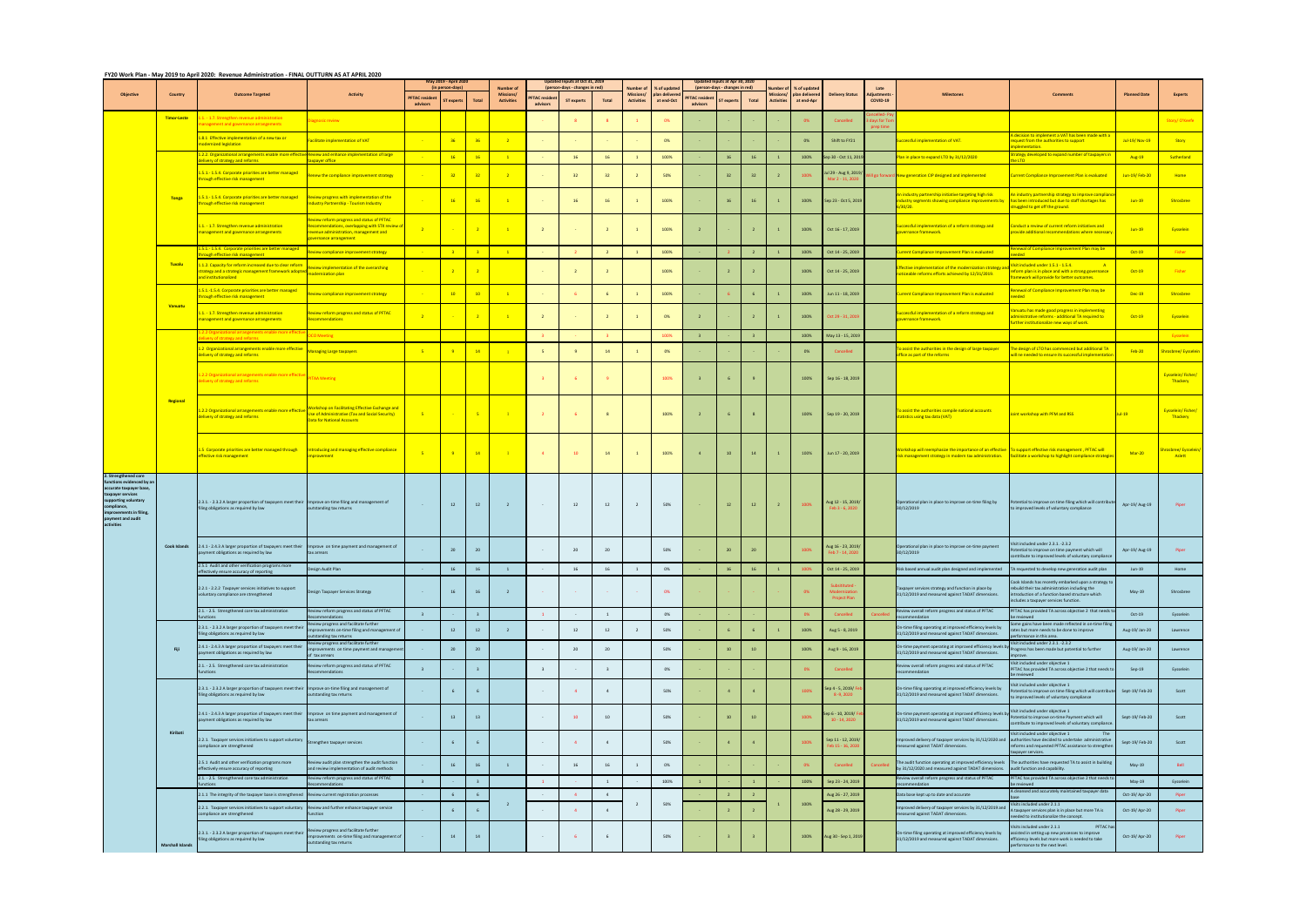## FY20 Work Plan - May 2019 to April 2020: Revenue Administration - FINAL OUTTURN AS AT APRIL 2020

|                                                                                                                                                                                                      |                         |                                                                                                                                                                                                                                        |                                                                                                                                                            |                                  | May 2019 - April 2020        |                |                                                           |                                 | Updated Inputs at Oct 31, 2019                     |                         |                                                          |                                             |                                 | Updated Inputs at Apr 30, 2020                    |                         |                                       |                                             |                                                            |                               |                                                                                                                                                                                                                              |                                                                                                                                                                                                      |                     |                                |
|------------------------------------------------------------------------------------------------------------------------------------------------------------------------------------------------------|-------------------------|----------------------------------------------------------------------------------------------------------------------------------------------------------------------------------------------------------------------------------------|------------------------------------------------------------------------------------------------------------------------------------------------------------|----------------------------------|------------------------------|----------------|-----------------------------------------------------------|---------------------------------|----------------------------------------------------|-------------------------|----------------------------------------------------------|---------------------------------------------|---------------------------------|---------------------------------------------------|-------------------------|---------------------------------------|---------------------------------------------|------------------------------------------------------------|-------------------------------|------------------------------------------------------------------------------------------------------------------------------------------------------------------------------------------------------------------------------|------------------------------------------------------------------------------------------------------------------------------------------------------------------------------------------------------|---------------------|--------------------------------|
| <b>Objective</b>                                                                                                                                                                                     | Country                 | <b>Outcome Targeted</b>                                                                                                                                                                                                                | <b>Activity</b>                                                                                                                                            | <b>PFTAC</b> residen<br>advisors | (in person-days)<br>T expert | <b>Total</b>   | <b>Number of</b><br><b>Missions/</b><br><b>Activities</b> | <b>FTAC</b> resider<br>advisors | person-days - changes in red)<br><b>ST experts</b> | Total                   | <b>Number</b> o<br><b>Missions/</b><br><b>Activities</b> | % of update<br>plan delivered<br>at end-Oct | <b>PFTAC</b> reside<br>advisors | (person-days - changes in red)<br><b>Texperts</b> | Total                   | <b>Missions/</b><br><b>Activities</b> | 6 of update<br>plan delivered<br>at end-Apr | <b>Delivery Status</b>                                     | <b>Adiustment</b><br>COVID-19 | <b>Milestones</b>                                                                                                                                                                                                            | <b>Comments</b>                                                                                                                                                                                      | <b>Planned Date</b> | <b>Experts</b>                 |
|                                                                                                                                                                                                      | <b>Timor-Leste</b>      | 1. - 1.7. Strengthen revenue administration<br>anagement and governance arrangements                                                                                                                                                   | agnosic review                                                                                                                                             |                                  |                              |                |                                                           |                                 |                                                    | $\overline{\mathbf{R}}$ |                                                          | 0%                                          |                                 |                                                   |                         |                                       |                                             | Cancelled                                                  |                               |                                                                                                                                                                                                                              |                                                                                                                                                                                                      |                     | Story/O'Keefe                  |
|                                                                                                                                                                                                      |                         | 8.1 Effective implementation of a new tax or<br>odernized legislation                                                                                                                                                                  | cilitate implementation of VAT                                                                                                                             |                                  |                              | 36             |                                                           |                                 |                                                    |                         |                                                          | 0%                                          |                                 |                                                   |                         |                                       | - 0%                                        | Shift to FY21                                              |                               | cessful implementation of VAT.                                                                                                                                                                                               | decision to implement a VAT has been made with a<br>equest from the authorities to support<br>ementation                                                                                             | Jul-19/ Nov-19      | Story                          |
|                                                                                                                                                                                                      |                         | 2.2. Organizational arrangements enable more effecti<br><b>Property of strategy and reforms</b>                                                                                                                                        | ive Review and enhance implementation of large<br>naver office                                                                                             |                                  | 16                           | 16             |                                                           |                                 | 16                                                 | <b>16</b>               | $\overline{1}$                                           | 100%                                        |                                 | <b>16</b>                                         | 16                      |                                       | 100%                                        | ep 30 - Oct 11, 201                                        |                               | lan in place to expand LTO by 31/12/2020                                                                                                                                                                                     | trategy developed to expand number of taxpayers ir                                                                                                                                                   | Aug-19              | Sutherland                     |
|                                                                                                                                                                                                      |                         | .5.1.-1.5.4. Corporate priorities are better managed<br>orough effective risk management                                                                                                                                               | Renew the compliance improvement strategy                                                                                                                  |                                  | 32                           | 32             |                                                           |                                 | 32                                                 | 32                      |                                                          | 50%                                         |                                 | 32                                                | 32                      |                                       | 100%                                        | ul 29 - Aug 9, 2019/<br>Mar 2 - 11, 2020                   |                               | ill go forward New generation CIP designed and implemented                                                                                                                                                                   | Current Compliance Improvement Plan is evaluated                                                                                                                                                     | Jun-19/Feb-20       | Home                           |
|                                                                                                                                                                                                      | Tonga                   | 5.1.-1.5.4. Corporate priorities are better managed<br>rough effective risk management                                                                                                                                                 | eview progress with implementation of the<br><mark>idustry Partnership - Tourism Industry</mark>                                                           |                                  | <b>16</b>                    | 16             |                                                           |                                 | 16                                                 | 16                      | $\overline{1}$                                           | 100%                                        |                                 | 16                                                | 16                      |                                       | 100%                                        | Sep 23 - Oct 5, 2019                                       |                               | n industry partnership initiative targeting high risk<br>dustry segments showing compliance improvements by<br>30/20.                                                                                                        | industry partnership strategy to improve complia<br>nas been introduced but due to staff shortages has<br>ruggled to get off the ground.                                                             | $Jun-19$            | Shrosbree                      |
|                                                                                                                                                                                                      |                         | .1. - 1.7. Strengthen revenue administration<br>anagement and governance arrangements                                                                                                                                                  | view reform progress and status of PFTAC<br>commendations, overlapping with STX review c<br>evenue administration, management and<br>overnance arrangement | $\overline{\phantom{0}}$         |                              |                |                                                           | $\overline{2}$                  |                                                    | $\overline{2}$          | $\overline{1}$                                           | 100%                                        |                                 |                                                   | $\overline{2}$          |                                       | 100%                                        | Oct 16 - 17, 2019                                          |                               | uccessful implementation of a reform strategy and<br>overnance framework.                                                                                                                                                    | Conduct a review of current reform initiatives and<br>rovide additional recommendations where necessary                                                                                              | $Jun-19$            | Eysselein                      |
|                                                                                                                                                                                                      |                         | 5.1 .- 1.5.4. Corporate priorities are better managed<br>ough effective risk management                                                                                                                                                | view compliance improvement strategy                                                                                                                       |                                  |                              | $-3$           | $\blacksquare$                                            |                                 |                                                    | $\overline{2}$          | $\overline{1}$                                           | 100%                                        |                                 |                                                   | $\overline{2}$          |                                       | 100%                                        | Oct 14 - 25, 2019                                          |                               | <b>Irrent Compliance Improvement Plan is evaluated</b>                                                                                                                                                                       | tenewal of Compliance Improvement Plan may be<br>haha                                                                                                                                                | $Oct-19$            | Fisher                         |
|                                                                                                                                                                                                      | Tuvalu                  | 1.2. Capacity for reform increased due to clear reform<br>strategy and a strategic management framework adopted neview implements<br>strategy and a strategic management framework adopted nodernization plan<br>and institutionalized | <b>Review implementation of the overarching</b>                                                                                                            |                                  |                              |                |                                                           |                                 | $\overline{2}$                                     | $\overline{2}$          |                                                          | 100%                                        |                                 | $\overline{2}$                                    | $\overline{2}$          |                                       | 100%                                        | Oct 14 - 25, 2019                                          |                               | <b>ffective implementation of the modernization strategy</b> a<br>noticeable reforms efforts achieved by 12/31/2019.                                                                                                         | isit included under 1.5.1 - 1.5.4.<br>eform plan is in place and with a strong governance                                                                                                            | $Oct-19$            | Fisher                         |
|                                                                                                                                                                                                      |                         | 5.1.-1.5.4. Corporate priorities are better managed<br>rough effective risk management                                                                                                                                                 | Review compliance improvement strategy                                                                                                                     |                                  | 10                           | $10-10$        |                                                           |                                 |                                                    | -6                      |                                                          | 100%                                        |                                 |                                                   | 6                       |                                       | 100%                                        | Jun 11 - 18, 2019                                          |                               | urrent Compliance Improvement Plan is evaluated                                                                                                                                                                              | amework will provide for better outcomes.<br>enewal of Compliance Improvement Plan may be<br>hehe                                                                                                    | $Dec-19$            | <b>Shrosbree</b>               |
|                                                                                                                                                                                                      | Vanuatu                 | 1. - 1.7. Strengthen revenue administration<br>anagement and governance arrangements                                                                                                                                                   | Review reform progress and status of PFTAC<br>commendations                                                                                                |                                  |                              |                | $\blacksquare$                                            | $\overline{2}$                  |                                                    | $\overline{2}$          | $\overline{1}$                                           | 0%                                          |                                 |                                                   | $\overline{2}$          |                                       | 100%                                        | Oct 29 - 31, 2019                                          |                               | ccessful implementation of a reform strategy and<br>vernance framework.                                                                                                                                                      | anuatu has made good progress in implementing<br>ministrative reforms - additional TA required to<br>urther institutionalize new ways of work.                                                       | $Oct-19$            | Eysselein                      |
|                                                                                                                                                                                                      |                         | 2.2 Organizational arrangements enable more effer                                                                                                                                                                                      | <b>CO</b> Meeting                                                                                                                                          |                                  |                              |                |                                                           | -3                              |                                                    | $\overline{\mathbf{3}}$ |                                                          | 100%                                        |                                 |                                                   | $\overline{\mathbf{3}}$ |                                       | 100%                                        | May 13 - 15, 2019                                          |                               |                                                                                                                                                                                                                              |                                                                                                                                                                                                      |                     | Eysselein                      |
|                                                                                                                                                                                                      |                         | 2 Organizational arrangements enable more effective<br>elivery of strategy and reforms                                                                                                                                                 | lanaging Large taxpayers                                                                                                                                   |                                  |                              | $-14$          |                                                           | - 5                             |                                                    | 14                      |                                                          | 0%                                          |                                 |                                                   |                         |                                       | 0%                                          | Cancelled                                                  |                               | assist the authorities in the design of large taxpayer<br>ffice as part of the reforms                                                                                                                                       | The design of LTO has commenced but additional TA<br>vill ne needed to ensure its successful implementatio                                                                                           | <b>Feb-20</b>       | hrosbree/Eysselein             |
|                                                                                                                                                                                                      |                         | 2.2 Organizational arrangements enable more effect<br>livery of strategy and reforms                                                                                                                                                   | <b>PITAA Meeting</b>                                                                                                                                       |                                  |                              |                |                                                           | 3                               |                                                    | $\mathbf{q}$            |                                                          | 100%                                        |                                 |                                                   | 9                       |                                       | 100%                                        | Sep 16 - 18, 2019                                          |                               |                                                                                                                                                                                                                              |                                                                                                                                                                                                      |                     | Eysselein/Fisher/<br>Thackery  |
|                                                                                                                                                                                                      | Regional                | 2.2 Organizational arrangements enable more effective<br>elivery of strategy and reforms                                                                                                                                               | <b>Norkshop on Facilitating Effective Exchange and</b><br>Use of Administrative (Tax and Social Security)<br><b>Data for National Accounts</b>             | - 5                              |                              | -5             |                                                           |                                 |                                                    | 8 <sup>2</sup>          |                                                          | 100%                                        |                                 |                                                   | 8                       |                                       | 100%                                        | Sep 19 - 20, 2019                                          |                               | To assist the authorities compile national accounts<br>statistics using tax data (VAT)                                                                                                                                       | loint workshop with PFM and RSS                                                                                                                                                                      | $Jul-19$            | Eysselein/Fisher/<br>Thackery  |
|                                                                                                                                                                                                      |                         | 1.5 Corporate priorities are better managed through Introducing and managing effective compliance<br>effective risk management                                                                                                         | improvement                                                                                                                                                | - 5                              |                              | 14             |                                                           |                                 | 10                                                 | 14                      |                                                          | 100%                                        |                                 | 10                                                | 14                      |                                       | 100%                                        | Jun 17 - 20, 2019                                          |                               | Workshop will reemphasize the importance of an effective To support effective risk management, PFTAC will<br>risk management strategy in modern tax administration. Facilitate a workshop to highlight compliance strategies |                                                                                                                                                                                                      | $Mar-20$            | hrosbree/ Eysselein,<br>Aslett |
| 2. Strengthened core<br>unctions evidenced by a<br>accurate taxpayer base,<br>taxpayer services<br>supporting voluntary<br>compliance,<br>improvements in filing,<br>payment and audit<br>activities |                         | 2.3.1. - 2.3.2 A larger proportion of taxpayers meet their Improve on-time filing and management of<br>filing obligations as required by law                                                                                           | outstanding tax returns                                                                                                                                    | $\sim$                           | 12                           | 12             | $\overline{2}$                                            | $\sim 100$                      | 12                                                 | 12                      | $\overline{2}$                                           | 50%                                         |                                 |                                                   | 12                      |                                       | 100%                                        | Aug 12 - 15, 2019/<br>Feb 3 - 6, 2020                      |                               | Operational plan in place to improve on-time filing by<br>30/12/2019                                                                                                                                                         | Potential to improve on time filing which will contribute<br>to improved levels of voluntary compliance                                                                                              | Apr-19/Aug-19       |                                |
|                                                                                                                                                                                                      | <b>Cook Islands</b>     | 2.4.1 - 2.4.3 A larger proportion of taxpayers meet their<br>ayment obligations as required by law                                                                                                                                     | Improve on time payment and management of<br>ax arrears                                                                                                    |                                  | 20                           | 20             |                                                           |                                 | 20                                                 | 20                      |                                                          | 50%                                         |                                 | 20                                                | 20                      |                                       | 100%                                        | Aug 16 - 23, 2019/<br>eb 7 - 14, 202                       |                               | Operational plan in place to improve on-time payment<br>30/12/2019                                                                                                                                                           | isit included under 2.3.1. -2.3.2<br>tential to improve on time payment which will<br>ontribute to improved levels of voluntary complianc                                                            | Apr-19/ Aug-19      | Piper                          |
|                                                                                                                                                                                                      |                         | 2.5.1 Audit and other verification programs more<br>ffectively ensure accuracy of reporting                                                                                                                                            | sign Audit Plan                                                                                                                                            |                                  | 16 <sup>1</sup>              | 16             |                                                           |                                 | 16                                                 | 16                      |                                                          | 0%                                          |                                 | $-16$                                             | 16                      |                                       |                                             | Oct 14 - 25, 2019                                          |                               | isk based annual audit plan designed and implemented                                                                                                                                                                         | requested to develop new generation audit plan                                                                                                                                                       | $Jun-19$            | Home                           |
|                                                                                                                                                                                                      |                         | 2.2.1 - 2.2.2 Taxpayer services initiatives to support<br>voluntary compliance are strengthened                                                                                                                                        | Design Taxpayer Services Strategy                                                                                                                          | $\sim 100$                       | 16                           | 16             | $\overline{z}$                                            |                                 |                                                    |                         |                                                          | 0%                                          |                                 |                                                   |                         |                                       | 0%                                          | <b>Subsitituted</b><br>Modernizatio<br><b>Project Plan</b> |                               | Taxpayer services strategy and function in place by<br>31/12/2019 and measured against TADAT dimensions.                                                                                                                     | Cook Islands has recently embarked upon a strategy to<br>ebuild their tax administration including the<br>introduction of a function based structure which<br>includes a taxpayer services function. | May-19              | Shrosbree                      |
|                                                                                                                                                                                                      |                         | 2.1. - 2.5. Strengthened core tax administration                                                                                                                                                                                       | eview reform progress and status of PFTAC<br>ommendations                                                                                                  | $\overline{\mathbf{3}}$          |                              | 3 <sup>2</sup> |                                                           | $\mathbf{1}$                    |                                                    | $\mathbf{1}$            |                                                          | 0%                                          |                                 |                                                   |                         |                                       | 0%                                          | Cancelled                                                  |                               | Review overall reform progress and status of PFTAC<br>commendation                                                                                                                                                           | PFTAC has provided TA across objective 2 that needs t<br>be reviewed                                                                                                                                 | $Oct-19$            | Eysselein                      |
|                                                                                                                                                                                                      |                         | 2.3.1. - 2.3.2 A larger proportion of taxpayers meet thei<br>filing obligations as required by law                                                                                                                                     | view progress and facilitate further<br>rovements on-time filing and management of<br><b>Itstanding tax returns</b>                                        |                                  | 12                           | 12             |                                                           |                                 | 12                                                 | 12                      | $\overline{2}$                                           | 50%                                         |                                 |                                                   |                         |                                       | 100%                                        | Aug 5 - 8, 2019                                            |                               | On-time filing operating at improved efficiency levels by<br>31/12/2019 and measured against TADAT dimensions.                                                                                                               | ome gains have been made reflected in on-time filing<br>ates but more needs to be done to improve<br>rformance in this area.                                                                         | Aug-19/Jan-20       | Lawrence                       |
|                                                                                                                                                                                                      | Fiji                    | 2.4.1 - 2.4.3 A larger proportion of taxpayers meet thei<br>payment obligations as required by law                                                                                                                                     | eview progress and facilitate further<br>provements on time payment and managemer<br>of tax arrears                                                        |                                  | 20                           | 20             |                                                           |                                 | 20                                                 | 20                      |                                                          | 50%                                         |                                 | $10$                                              | 10                      |                                       | 100%                                        | Aug 9 - 16, 2019                                           |                               | On-time payment operating at improved efficiency levels<br>31/12/2019 and measured against TADAT dimensions.                                                                                                                 | Visit included under 2.3.1. -2.3.2<br>rogress has been made but potential to further<br>irove.                                                                                                       | Aug-19/ Jan-20      | Lawrence                       |
|                                                                                                                                                                                                      |                         | 2.1. - 2.5. Strengthened core tax administration<br><i>unctions</i>                                                                                                                                                                    | eview reform progress and status of PFTAC<br>commendations                                                                                                 | $\overline{3}$                   |                              | $\overline{3}$ |                                                           | $\overline{\mathbf{3}}$         |                                                    | $\overline{\mathbf{3}}$ |                                                          | 0%                                          |                                 |                                                   |                         |                                       | - 0%                                        | Cancelled                                                  |                               | Review overall reform progress and status of PFTAC<br>recommendation                                                                                                                                                         | Visit included under objective 1<br>PFTAC has provided TA across objective 2 that needs to<br>e reviewed                                                                                             | $Sep-19$            | Eysselein                      |
|                                                                                                                                                                                                      |                         | 2.3.1. - 2.3.2 A larger proportion of taxpayers meet their Improve on-time filing and management of<br>filing obligations as required by law                                                                                           | utstanding tax returns                                                                                                                                     |                                  |                              | 6              |                                                           |                                 | $\overline{4}$                                     | $\overline{4}$          |                                                          | 50%                                         |                                 | $\overline{4}$                                    | $\overline{4}$          |                                       | 100%                                        | iep 4 - 5, 2019/ F<br>8-9, 2020                            |                               | On-time filing operating at improved efficiency levels by<br>31/12/2019 and measured against TADAT dimensions.                                                                                                               | Visit included under objective 1<br>Potential to improve on time filing which will contribute<br>o improved levels of voluntary compliance                                                           | Sept-19/Feb-20      | Scott                          |
|                                                                                                                                                                                                      |                         | 2.4.1 - 2.4.3 A larger proportion of taxpayers meet their<br>ayment obligations as required by law                                                                                                                                     | Improve on time payment and management of<br>ax arrears                                                                                                    |                                  | 13                           | 13             |                                                           |                                 | 10                                                 | 10                      |                                                          | 50%                                         |                                 | 10                                                | 10                      |                                       | 100%                                        | Sep 6 - 10, 2019/ F<br>10 - 14, 2020                       |                               | On-time payment operating at improved efficiency levels by<br>31/12/2019 and measured against TADAT dimensions.                                                                                                              | Visit included under objective 1<br>tential to improve on-time Payment which will<br>ontribute to improved levels of voluntary compliance                                                            | Sept-19/Feb-20      | Scott                          |
|                                                                                                                                                                                                      | Kiribati                | 2.2.1. Taxpayer services initiatives to support voluntary<br>compliance are strengthened                                                                                                                                               | Strengthen taxpayer services                                                                                                                               | $\sim 100$                       |                              | 6              |                                                           | $\sim$                          | $\sim$                                             | 4                       |                                                          | 50%                                         |                                 | $\mathbf{A}$                                      | $\overline{4}$          |                                       | 100%                                        | Sep 11 - 12, 2019/<br>eb 15 - 16, 202                      |                               | Improved delivery of taxpayer services by 31/12/2020 and authorities have decided to undertake administrative<br>measured against TADAT dimensions.                                                                          | Visit included under objective 1<br>reforms and requested PFTAC assistance to strengthen<br>payer services.                                                                                          | Sept-19/Feb-20      | Scott                          |
|                                                                                                                                                                                                      |                         | 2.5.1 Audit and other verification programs more<br>effectively ensure accuracy of reporting                                                                                                                                           | Review audit plan strengthen the audit function<br>and review implementation of audit methods                                                              |                                  | 16                           | 16             |                                                           |                                 | 16                                                 | 16                      | $\overline{1}$                                           | 0%                                          |                                 |                                                   |                         |                                       |                                             | Cancelled                                                  |                               | The audit function operating at improved efficiency levels<br>by 31/12/2020 and measured against TADAT dimensions.                                                                                                           | The authorities have requested TA to assist in building<br>audit function and capability.                                                                                                            | May-19              | Bell                           |
|                                                                                                                                                                                                      |                         | 2.1. - 2.5. Strengthened core tax administration<br>netions                                                                                                                                                                            | eview reform progress and status of PFTAC<br>ommendations                                                                                                  | $\overline{\mathbf{3}}$          |                              | 3 <sup>2</sup> |                                                           | $\mathbf{1}$                    |                                                    | $\mathbf{1}$            |                                                          | 100%                                        |                                 |                                                   | $\overline{1}$          |                                       | 100%                                        | Sep 23 - 24, 2019                                          |                               | Review overall reform progress and status of PFTAC<br>ecommendation                                                                                                                                                          | PFTAC has provided TA across objective 2 that needs to<br>reviewed                                                                                                                                   | May-19              | Eysselein                      |
|                                                                                                                                                                                                      |                         | 2.1.1 The integrity of the taxpayer base is strengthened                                                                                                                                                                               | Review current registration processes                                                                                                                      |                                  | 6                            | 6              |                                                           |                                 | $\sim$                                             | 4                       |                                                          |                                             |                                 |                                                   |                         |                                       |                                             | Aug 26 - 27, 2019                                          |                               | Data base kept up to date and accurate                                                                                                                                                                                       | A cleansed and accurately maintained taxpayer data                                                                                                                                                   | Oct-19/ Apr-20      | Piper                          |
|                                                                                                                                                                                                      |                         | 2.2.1. Taxpayer services initiatives to support voluntary<br>compliance are strengthened                                                                                                                                               | Review and further enhance taxpayer service<br><b>inction</b>                                                                                              |                                  |                              |                | $\overline{2}$                                            |                                 | $\Delta$                                           | $\overline{4}$          | $\overline{2}$                                           | 50%                                         |                                 |                                                   |                         |                                       | 100%                                        | Aug 28 - 29, 2019                                          |                               | Improved delivery of taxpayer services by 31/12/2019 and<br>measured against TADAT dimensions.                                                                                                                               | Visits included under 2.1.1<br>taxpayer services plan is in place but more TA is<br>eeded to institutionalize the concept.                                                                           | Oct-19/ Apr-20      | Piper                          |
|                                                                                                                                                                                                      | <b>Marshall Islands</b> | 2.3.1. - 2.3.2 A larger proportion of taxpayers meet their<br>iling obligations as required by law                                                                                                                                     | eview progress and facilitate further<br>provements on-time filing and management of<br>outstanding tax returns                                            |                                  | 14                           | 14             |                                                           |                                 |                                                    | 6                       |                                                          | 50%                                         |                                 |                                                   |                         |                                       | 100%                                        | Aug 30 - Sep 1, 2019                                       |                               | On-time filing operating at improved efficiency levels by<br>31/12/2019 and measured against TADAT dimensions.                                                                                                               | PFTAC has<br>sits included under 2.1.1<br>assisted in setting up new processes to improve<br>efficiency levels but more work is needed to take<br>rformance to the next level.                       | Oct-19/ Apr-20      | Piper                          |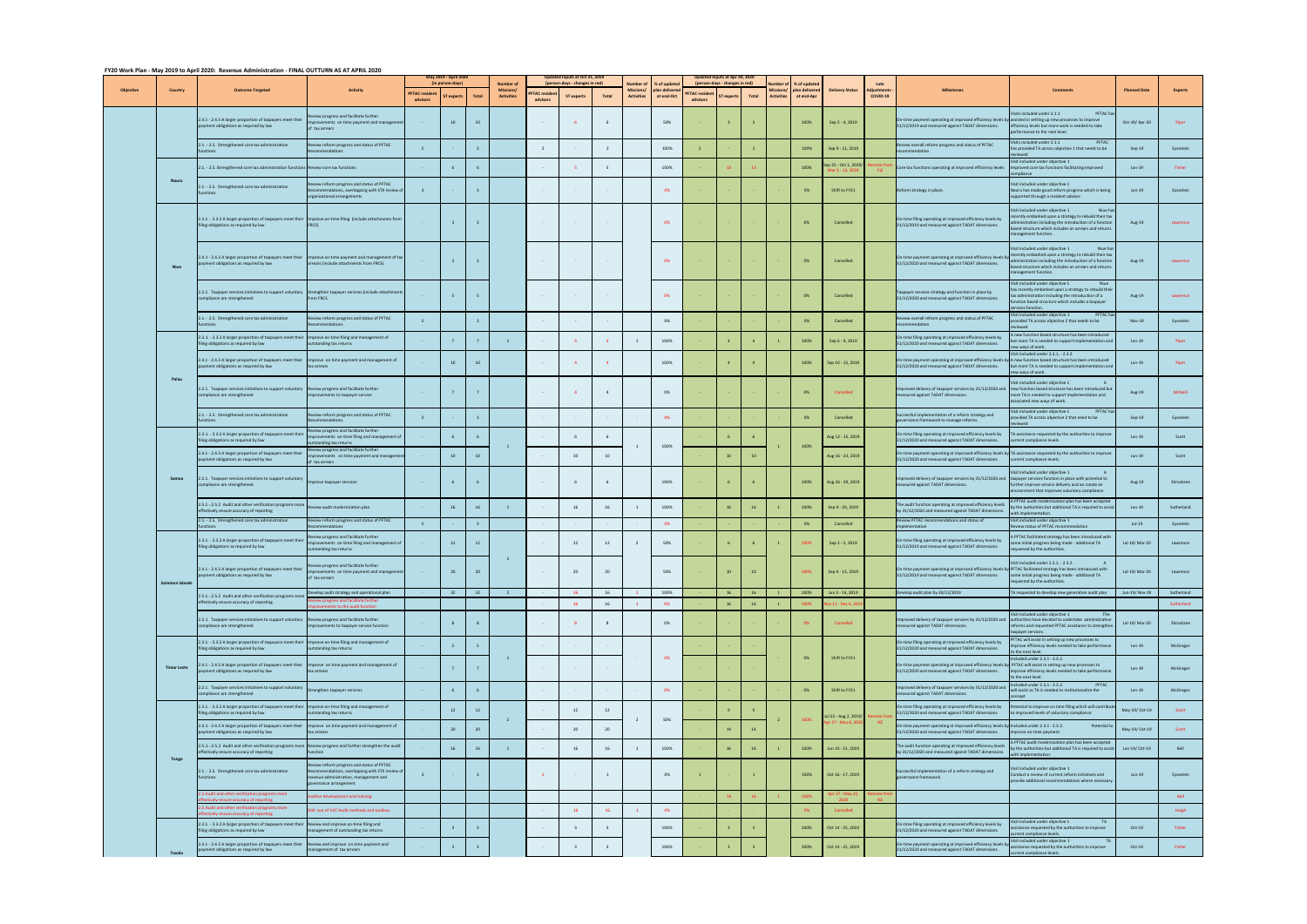| FY20 Work Plan - May 2019 to April 2020: Revenue Administration - FINAL OUTTURN AS AT APRIL 2020 |
|--------------------------------------------------------------------------------------------------|
|                                                                                                  |

| $120$ work from two years to $1$ |                    |                                                                                                                                                      | 1137500110111777717111112020                                                                                                                                |                                 | May 2019 - April 2020<br>(in person-days |                         | <b>Number of</b>                     |                                | Updated Inputs at Oct 31, 2019<br>person-days - changes in red) |                         | umber o                              | 6 of update                 |                                  | Updated Inputs at Apr 30, 2020<br>(person-days - changes in red) |       |                   | % of updat                   |                                     |                        |                                                                                                                                                                      |                                                                                                                                                                                                                                           |                     |                |
|----------------------------------|--------------------|------------------------------------------------------------------------------------------------------------------------------------------------------|-------------------------------------------------------------------------------------------------------------------------------------------------------------|---------------------------------|------------------------------------------|-------------------------|--------------------------------------|--------------------------------|-----------------------------------------------------------------|-------------------------|--------------------------------------|-----------------------------|----------------------------------|------------------------------------------------------------------|-------|-------------------|------------------------------|-------------------------------------|------------------------|----------------------------------------------------------------------------------------------------------------------------------------------------------------------|-------------------------------------------------------------------------------------------------------------------------------------------------------------------------------------------------------------------------------------------|---------------------|----------------|
| <b>Objective</b>                 | Country            | <b>Outcome Targeted</b>                                                                                                                              | <b>Activity</b>                                                                                                                                             | <b>PFTAC</b> reside<br>advisors | T expert                                 | <b>Total</b>            | <b>Missions</b><br><b>Activities</b> | <b>FTAC</b> reside<br>advisors | <b>ST</b> experts                                               | Total                   | <b>Missions</b><br><b>Activities</b> | plan delivere<br>at end-Oct | <b>PFTAC</b> residen<br>advisors | expert                                                           | Total | <b>Activities</b> | plan delivered<br>at end-Apr | <b>Delivery Status</b>              | liustments<br>COVID-19 | <b>Milestones</b>                                                                                                                                                    | <b>Comments</b>                                                                                                                                                                                                                           | <b>Planned Date</b> | <b>Experts</b> |
|                                  |                    | 2.4.1 - 2.4.3 A larger proportion of taxpayers meet their<br>payment obligations as required by law                                                  | riew progress and facilitate further<br>improvements on time payment and management<br>of tax arrears                                                       | $\sim$                          | 10                                       | 10                      |                                      | $\sim$                         |                                                                 | 6                       |                                      | 50%                         |                                  |                                                                  |       |                   | 100%                         | Sep 2 - 4, 2019                     |                        | On-time payment operating at improved efficiency levels by a<br>31/12/2019 and measured against TADAT dimensions.                                                    | sits included under 2.1.1<br>PFTAC h<br>issisted in setting up new processes to improve<br>efficiency levels but more work is needed to take<br>erformance to the next level                                                              | Oct-19/ Apr-20      | Piper          |
|                                  |                    | 2.1. - 2.5. Strengthened core tax administration<br>unctions                                                                                         | Review reform progress and status of PFTAC<br>commendations                                                                                                 | $\overline{2}$                  |                                          | $\overline{2}$          |                                      | $\overline{2}$                 |                                                                 | $\overline{2}$          |                                      | 100%                        |                                  |                                                                  |       |                   | 100%                         | Sep 9 - 11, 2019                    |                        | Review overall reform progress and status of PFTAC<br>commendation                                                                                                   | isits included under 2.1.1<br>PFTAC<br>as provided TA across objective 1 that needs to be<br>hewei                                                                                                                                        | $Sep-19$            | Eysselein      |
|                                  |                    | 2.1. - 2.5. Strengthened core tax administration functions Review core tax functions                                                                 |                                                                                                                                                             |                                 |                                          | 6                       |                                      |                                |                                                                 | - 5                     |                                      | 100%                        |                                  |                                                                  |       |                   | 100%                         | p 25 - Oct 1, 2019/<br>r 7 - 13. 70 |                        | Core tax functions operating at improved efficiency levels                                                                                                           | isit included under objective 1<br>nproved core tax functions facilitating improved<br>mpliance                                                                                                                                           | Jun-19              | Fisher         |
|                                  | <b>Nauru</b>       | 2.1. - 2.5. Strengthened core tax administration<br>unctions                                                                                         | view reform progress and status of PFTAC<br>commendations, overlapping with STX review of<br>organizational arrangements                                    | $\overline{\mathbf{3}}$         |                                          | $\overline{\mathbf{3}}$ |                                      |                                |                                                                 |                         |                                      | 0%                          |                                  |                                                                  |       |                   | 0%                           | Shift to FY21                       |                        | Reform strategy in place.                                                                                                                                            | isit included under objective 1<br>lauru has made good reform progress which is being<br>oported through a resident advisor.                                                                                                              | $Jun-19$            | Eysselein      |
|                                  |                    | 2.3.1. - 2.3.2 A larger proportion of taxpayers meet their Improve on-time filing (include attachments from<br>filing obligations as required by law | <b>FRCS</b>                                                                                                                                                 |                                 |                                          |                         |                                      |                                |                                                                 |                         |                                      | 0%                          |                                  |                                                                  |       |                   |                              | Cancelled                           |                        | On-time filing operating at improved efficiency levels by<br>31/12/2019 and measured against TADAT dimensions.                                                       | Niue ha<br>isit included under objective 1<br>cently embarked upon a strategy to rebuild their tax<br>nistration including the introduction of a functior<br>based structure which includes an arrears and returns<br>anagement function. | Aug-19              | Lawrence       |
|                                  | <b>Niue</b>        | 2.4.1 - 2.4.3 A larger proportion of taxpayers meet their lmprove on-time payment and management of tax<br>payment obligations as required by law    | arrears (include attachments from FRCS)                                                                                                                     |                                 |                                          | $\overline{3}$          |                                      |                                |                                                                 |                         |                                      | 0%                          |                                  |                                                                  |       |                   |                              | Cancelled                           |                        | On-time payment operating at improved efficiency levels by<br>31/12/2020 and measured against TADAT dimensions.                                                      | sit included under objective 1<br>Niue ha<br>ecently embarked upon a strategy to rebuild their tax<br>inistration including the introduction of a functior<br>ased structure which includes an arrears and returns<br>anagement function. | Aug-19              | Lawrence       |
|                                  |                    | 2.2.1. Taxpayer services initiatives to support voluntary<br>compliance are strengthened                                                             | Strengthen taxpayer services (include attachment:<br>from FRCS                                                                                              |                                 | 5 <sub>1</sub>                           | -5                      |                                      | <b>Contract</b>                |                                                                 |                         |                                      | 0%                          |                                  |                                                                  |       |                   | - 0%                         | Cancelled                           |                        | Taxpayer services strategy and function in place by<br>31/12/2020 and measured against TADAT dimensions.                                                             | risit included under objective 1<br>Niue<br>as recently embarked upon a strategy to rebuild their<br>tax administration including the introduction of a<br>unction based structure which includes a taxpayer<br>rvices function           | Aug-19              | Lawrence       |
|                                  |                    | 2.1. - 2.5. Strengthened core tax administration                                                                                                     | eview reform progress and status of PFTAC<br>mmendations                                                                                                    |                                 |                                          | $\overline{3}$          |                                      |                                |                                                                 |                         |                                      | 0%                          |                                  |                                                                  |       |                   | 0%                           | Cancelled                           |                        | Review overall reform progress and status of PFTAC<br>commendat                                                                                                      | isit included under objective 1<br>PFTAC ha<br>ovided TA across objective 2 that needs to be                                                                                                                                              | Nov-19              | Eysselein      |
|                                  |                    | 2.3.1. - 2.3.2 A larger proportion of taxpayers meet their<br>filing obligations as required by law                                                  | Improve on-time filing and management of<br>utstanding tax returns                                                                                          |                                 |                                          |                         |                                      |                                |                                                                 | $\overline{4}$          |                                      | 100%                        |                                  |                                                                  |       |                   | 100%                         | Sep 6 - 9, 2019                     |                        | n-time filing operating at improved efficiency levels by<br>31/12/2020 and measured against TADAT dimensions.                                                        | new function based structure has been introduced<br>it more TA is needed to support implementation an<br>ew ways of work                                                                                                                  | Jun-19              | Piper          |
|                                  |                    | 2.4.1 - 2.4.3 A larger proportion of taxpayers meet their Improve on time payment and management of<br>yment obligations as required by law          | tax arrears                                                                                                                                                 |                                 | 10                                       | 10                      |                                      | $\sim$                         |                                                                 | $\overline{a}$          |                                      | 100%                        |                                  |                                                                  |       |                   | 100%                         | Sep 10 - 13, 2019                   |                        | On-time payment operating at improved efficiency levels I<br>31/12/2020 and measured against TADAT dimensions.                                                       | sit included under 2,3,1, - 2.3.2.<br>new function based structure has been introduced<br>but more TA is needed to support implementation an<br>ew ways of work                                                                           | Jun-19              | Piper          |
|                                  | Palau              | 2.2.1. Taxpayer services initiatives to support voluntary Review progress and facilitate further<br>compliance are strengthened                      | improvements to taxpayer service                                                                                                                            |                                 |                                          | 7                       |                                      |                                |                                                                 | $\overline{4}$          |                                      | 0%                          |                                  |                                                                  |       |                   |                              | Cancelled                           |                        | Improved delivery of taxpayer services by 31/12/2020 and<br>neasured against TADAT dimensions.                                                                       | isit included under objective 1<br>new function based structure has been introduced but<br>more TA is needed to support implementation and<br>ssociated new ways of work.                                                                 | Aug-19              | McNeill        |
|                                  |                    | 2.1. - 2.5. Strengthened core tax administration<br><b>inctions</b>                                                                                  | Review reform progress and status of PFTAC<br>mmendations                                                                                                   | $\overline{\mathbf{3}}$         |                                          | $\overline{3}$          |                                      |                                |                                                                 |                         |                                      | 0%                          |                                  |                                                                  |       |                   | - 0%                         | Cancelled                           |                        | uccessful implementation of a reform strategy and<br>vernance framework to manage reforms.                                                                           | isit included under objective 1<br>PFTAC ha<br>ovided TA across objective 2 that need to be                                                                                                                                               | Sep-19              | Eysselein      |
|                                  |                    | 2.3.1. - 2.3.2 A larger proportion of taxpayers meet their<br>filing obligations as required by law                                                  | view progress and facilitate further<br>rovements on-time filing and management of<br>standing tax returns                                                  |                                 |                                          | 6                       | <sup>1</sup>                         |                                |                                                                 | 6                       |                                      | 100%                        |                                  |                                                                  |       |                   | 100%                         | Aug 12 - 15, 2019                   |                        | On-time filing operating at improved efficiency levels by<br>31/12/2020 and measured against TADAT dimensions.                                                       | TA assistance requested by the authorities to improve<br>current compliance levels.                                                                                                                                                       | Jun-19              | Scott          |
|                                  |                    | 2.4.1 - 2.4.3 A larger proportion of taxpayers meet their<br>payment obligations as required by law                                                  | eview progress and facilitate further<br>provements on time payment and manageme<br>of tax arrears                                                          |                                 | 10                                       | 10                      |                                      | $\sim$                         | 10                                                              | 10                      |                                      |                             |                                  |                                                                  | 10    |                   |                              | Aug 16 - 23, 2019                   |                        | On-time payment operating at improved efficiency levels by TA assistance requested by the authorities to improve<br>1/12/2020 and measured against TADAT dimensions. | urrent compliance levels.                                                                                                                                                                                                                 | $Jun-19$            | Scott          |
|                                  | Samoa              | 2.2.1. Taxpayer services initiatives to support voluntary<br>ompliance are strengthened                                                              | Improve taxpayer services                                                                                                                                   | $\sim$                          |                                          | 6                       |                                      | $\sim$                         | 6                                                               | 6                       |                                      | 100%                        |                                  |                                                                  |       |                   | 100%                         | Aug 26 - 29, 2019                   |                        | mproved delivery of taxpayer services by 31/12/2020 and<br>asured against TADAT dimensions.                                                                          | sit included under objective 1<br>taxpayer services function in place with potential to<br>urther improve service delivery and an create an<br>ronment that improves voluntary compliance                                                 | Aug-19              | Shrosbree      |
|                                  |                    | 2.5.1.-.2.5.2 Audit and other verification programs more<br>effectively ensure accuracy of reporting                                                 | Review audit modernization plan                                                                                                                             |                                 | 16                                       | 16                      |                                      |                                | 16                                                              | 16                      |                                      | 100%                        |                                  |                                                                  |       |                   | 100%                         | Sep 9 - 20, 2019                    |                        | The audit function operating at improved efficiency levels<br>by 31/12/2020 and measured against TADAT dimensions.                                                   | PFTAC audit modernization plan has been accepted<br>by the authorities but additional TA is required to assis<br>rith implementation                                                                                                      | $Jun-19$            | Sutherland     |
|                                  |                    | 2.1. - 2.5. Strengthened core tax administration                                                                                                     | view reform progress and status of PFTAC<br>mendation                                                                                                       | $\overline{\mathbf{3}}$         |                                          | $\overline{\mathbf{3}}$ |                                      |                                |                                                                 |                         |                                      | 0%                          |                                  |                                                                  |       |                   | 0%                           | Cancelled                           |                        | teview PFTAC recommendations and status of<br>ementation                                                                                                             | isit included under objective 1<br>eview status of PFTAC recommendation                                                                                                                                                                   | $Jul-19$            | Eysselein      |
|                                  |                    | 2.3.1. - 2.3.2 A larger proportion of taxpayers meet their<br>filing obligations as required by law                                                  | eview progress and facilitate further<br>provements on-time filing and management of<br>outstanding tax returns                                             |                                 | 12                                       | 12                      |                                      |                                | 12                                                              | 12                      | $\overline{2}$                       | 50%                         |                                  |                                                                  |       | $\mathbf{1}$      | 100%                         | Sep 2 - 5, 2019                     |                        | On-time filing operating at improved efficiency levels by<br>31/12/2019 and measured against TADAT dimensions.                                                       | PFTAC facilitated strategy has been introduced with<br>ome initial progress being made - additional TA<br>quested by the authorities.                                                                                                     | Jul-19/Mar-20       | Lawrence       |
|                                  | Solomon Islands    | 2.4.1 - 2.4.3 A larger proportion of taxpayers meet their<br>payment obligations as required by law                                                  | eview progress and facilitate further<br>improvements on time payment and management<br>of tax arrears                                                      |                                 | 20                                       | 20                      | $\overline{2}$                       |                                | 20                                                              | 20                      |                                      | 50%                         |                                  | 10                                                               | 10    |                   | 100%                         | Sep 6 - 13, 2019                    |                        | On-time payment operating at improved efficiency levels by PFTAC facilitated strategy has been introduced with<br>31/12/2019 and measured against TADAT dimensions.  | isit included under 2.3.1. - 2.3.2.<br>A<br>some initial progress being made - additional TA<br>quested by the authorities.                                                                                                               | Jul-19/ Mar-20      | Lawrence       |
|                                  |                    | 2.5.1.-.2.5.2 Audit and other verification programs more                                                                                             | Develop audit strategy and operational plan<br>ew progress and facilitate further                                                                           |                                 | 32                                       | 32                      | $\overline{2}$                       |                                | <b>16</b>                                                       | 16                      | $\blacksquare$                       | 100%                        |                                  | <b>16</b>                                                        | 16    |                   | 100%                         | Jun 3 - 14, 2019                    |                        | evelop audit plan by 30/12/2019                                                                                                                                      | TA requested to develop new generation audit plan                                                                                                                                                                                         | Jun-19/Nov-19       | Sutherland     |
|                                  |                    | effectively ensure accuracy of reporting                                                                                                             | ememts to the audit function                                                                                                                                |                                 |                                          |                         |                                      |                                | 16                                                              | 16                      | $\overline{1}$                       | 0%                          |                                  | 16                                                               | 16    | $\overline{1}$    | 100%                         | v 11 - Dec 6, 2                     |                        |                                                                                                                                                                      | isit included under objective 1                                                                                                                                                                                                           |                     | Sutherland     |
|                                  |                    | 2.2.1. Taxpayer services initiatives to support voluntary Review progress and facilitate further<br>compliance are strengthened                      | provements to taxpayer service function                                                                                                                     |                                 | $\mathbf{R}$                             | 8                       |                                      | $\sim$                         |                                                                 | 8                       |                                      | 0%                          |                                  |                                                                  |       |                   |                              | Cancelled                           |                        | proved delivery of taxpayer services by 31/12/2020 and authorities have decided to undertake administrative<br>asured against TADAT dimensions.                      | reforms and requested PFTAC assistance to strengther<br>taxpayer services.<br>PFTAC will assist in setting up new processes to                                                                                                            | Jul-19/ Mar-20      | Shrosbree      |
|                                  |                    | 2.3.1. - 2.3.2 A larger proportion of taxpayers meet their Improve on-time filing and management of<br>filing obligations as required by law         | outstanding tax returns                                                                                                                                     |                                 |                                          | 5                       |                                      |                                |                                                                 |                         |                                      |                             |                                  |                                                                  |       |                   |                              |                                     |                        | On-time filing operating at improved efficiency levels by<br>31/12/2020 and measured against TADAT dimensions.                                                       | mprove efficiency levels needed to take performance<br>o the next level.                                                                                                                                                                  | $Jun-19$            | McGregor       |
|                                  | <b>Timor Leste</b> | 2.4.1 - 2.4.3 A larger proportion of taxpayers meet their Improve on time payment and management of<br>payment obligations as required by law        | tax arrears                                                                                                                                                 |                                 | $7^{\circ}$                              | $7\overline{ }$         | $\mathbf{1}$                         |                                |                                                                 |                         |                                      | 0%                          |                                  |                                                                  |       |                   | 0%                           | Shift to FY21                       |                        | On-time payment operating at improved efficiency levels by PFTAC will assist in setting up new processes to<br>31/12/2020 and measured against TADAT dimensions.     | ncluded under 2.3.1 - 2.3.2.<br>improve efficiency levels needed to take performance<br>o the next level.                                                                                                                                 | $Jun-19$            | McGregor       |
|                                  |                    | 2.2.1. Taxpayer services initiatives to support voluntary<br>compliance are strengthened                                                             | rengthen taxpayer services                                                                                                                                  |                                 |                                          | 6                       |                                      |                                |                                                                 |                         |                                      | 0%                          |                                  |                                                                  |       |                   | 0%                           | Shift to FY21                       |                        | mproved delivery of taxpayer services by 31/12/2020 and<br>reasured against TADAT dimensions.                                                                        | ncluded under 2.3.1 - 2.3.2.<br>PFTAC<br>rill assist as TA is needed to institutionalize the<br>ncept                                                                                                                                     | Jun-19              | McGregor       |
|                                  |                    | 2.3.1. - 2.3.2 A larger proportion of taxpayers meet their Improve on-time filing and management of<br>filing obligations as required by law         | utstanding tax returns                                                                                                                                      |                                 | 12                                       | 12                      |                                      |                                | 12                                                              | 12                      |                                      |                             |                                  |                                                                  |       |                   |                              | ul 22 - Aug 2, 2019/                |                        | On-time filing operating at improved efficiency levels by<br>31/12/2020 and measured against TADAT dimensions.                                                       | Potential to improve on time filing which will contribu<br>o improved levels of voluntary compliance                                                                                                                                      | May-19/ Oct-19      | Scott          |
|                                  |                    | 2.4.1 - 2.4.3 A larger proportion of taxpayers meet their<br>payment obligations as required by law                                                  | Improve on time payment and management of<br>x arrears                                                                                                      |                                 | 20                                       | 20                      | $\overline{2}$                       |                                | 20                                                              | 20                      | $\overline{2}$                       | 50%                         |                                  | 14                                                               | 14    |                   | 100%                         | 27 - May 8, 20                      |                        | On-time payment operating at improved efficiency levels b<br>1/12/2020 and measured against TADAT dimensions.                                                        | ncluded under 2.3.1 - 2.3.2.<br>Potential to<br>nprove on-time payment                                                                                                                                                                    | May-19/ Oct-19      | Scott          |
|                                  |                    | 2.5.1.-.2.5.2 Audit and other verification programs more<br>ffectively ensure accuracy of reporting                                                  | Review progress and further strengthen the audit                                                                                                            |                                 | 16                                       | 16                      | $\mathbf{1}$                         |                                | 16                                                              | 16                      | $\overline{1}$                       | 100%                        |                                  | 16                                                               | 16    |                   | 100%                         | Jun 10 - 21, 2019                   |                        | The audit function operating at improved efficiency levels<br>ly 31/12/2020 and measured against TADAT dimensions.                                                   | PFTAC audit modernization plan has been accepted<br>y the authorities but additional TA is required to assist<br>ith implementation                                                                                                       | Jun-19/ Oct-19      | Bell           |
|                                  | Tonga              | 2.1. - 2.5. Strengthened core tax administration<br>functions                                                                                        | view reform progress and status of PFTAC<br>ommendations, overlapping with STX review of<br>revenue administration, management and<br>overnance arrangement | $\overline{\mathbf{3}}$         |                                          | $\overline{3}$          |                                      | $\mathbf{1}$                   | $\sim 10^{-1}$                                                  | $\overline{1}$          |                                      | 0%                          |                                  |                                                                  |       |                   | 100%                         | Oct 16 - 17, 2019                   |                        | Successful implementation of a reform strategy and<br>vernance framework.                                                                                            | isit included under objective 1<br>Conduct a review of current reform initiatives and<br>provide additional recommendations where necessary                                                                                               | $Jun-19$            | Eysselein      |
|                                  |                    | 2.5. Audit and other verification programs more<br>ctively ensure accuracy of reporting                                                              | Auditor development and training                                                                                                                            |                                 |                                          |                         |                                      |                                |                                                                 |                         |                                      |                             |                                  |                                                                  | 16    |                   | 100%                         | ır 27 - May 2                       |                        |                                                                                                                                                                      |                                                                                                                                                                                                                                           |                     | Bell           |
|                                  |                    | 2.5. Audit and other verification programs more<br>ctively ensure accuracy of reporting                                                              | Roll -out of VAT Audit methods and toolbox                                                                                                                  |                                 |                                          |                         |                                      |                                | <b>16</b>                                                       | 16                      | $\mathbf{1}$                         | 0%                          |                                  |                                                                  |       |                   | - 0%                         | Cancelled                           |                        |                                                                                                                                                                      |                                                                                                                                                                                                                                           |                     | Haigh          |
|                                  |                    | 2.3.1. - 2.3.2 A larger proportion of taxpayers meet their<br>filing obligations as required by law                                                  | Review and improve on-time filing and<br>nagement of outstanding tax returns                                                                                |                                 |                                          | $\overline{\mathbf{3}}$ |                                      |                                |                                                                 | $\overline{\mathbf{3}}$ |                                      | 100%                        |                                  |                                                                  |       |                   | 100%                         | Oct 14 - 25, 2019                   |                        | In-time filing operating at improved efficiency levels by<br>31/12/2020 and measured against TADAT dimensions.                                                       | it included under objective 1<br><b>TA</b><br>stance requested by the authorities to improve                                                                                                                                              | Oct-19              | Fisher         |
|                                  |                    | 2.4.1 - 2.4.3 A larger proportion of taxpayers meet their<br>payment obligations as required by law                                                  | Review and improve on time payment and<br>inagement of tax arrears                                                                                          |                                 | $\overline{3}$                           | $\overline{\mathbf{3}}$ |                                      | $\sim$                         |                                                                 | $\overline{\mathbf{3}}$ |                                      | 100%                        |                                  |                                                                  |       |                   | 100%                         | Oct 14 - 25, 2019                   |                        | On-time payment operating at improved efficiency levels<br>1/12/2020 and measured against TADAT dimensions.                                                          | rrent compliance levels.<br>isit included under objective 1<br>istance requested by the authorities to improve                                                                                                                            | Oct-19              | Fisher         |
|                                  | Tuvalu             |                                                                                                                                                      |                                                                                                                                                             |                                 |                                          |                         |                                      |                                |                                                                 |                         |                                      |                             |                                  |                                                                  |       |                   |                              |                                     |                        |                                                                                                                                                                      | urrent compliance levels.                                                                                                                                                                                                                 |                     |                |